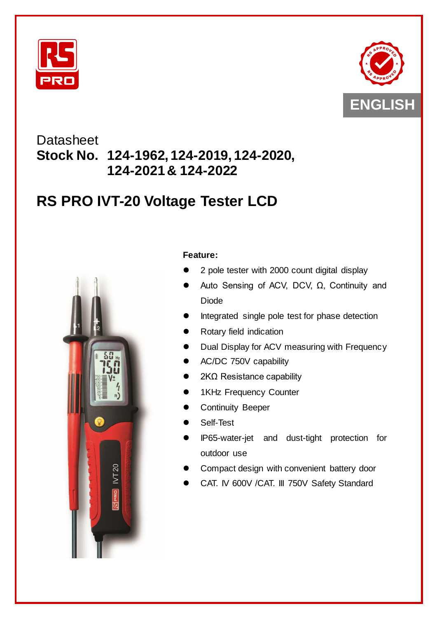



# **Datasheet Stock No. 124-1962, 124-2019, 124-2020, 124-2021 & 124-2022**

# **RS PRO IVT-20 Voltage Tester LCD**



## **Feature:**

- 2 pole tester with 2000 count digital display
- Auto Sensing of ACV, DCV, Ω, Continuity and Diode
- Integrated single pole test for phase detection
- Rotary field indication
- Dual Display for ACV measuring with Frequency
- AC/DC 750V capability
- 2KΩ Resistance capability
- 1KHz Frequency Counter
- Continuity Beeper
- Self-Test
- IP65-water-jet and dust-tight protection for outdoor use
- Compact design with convenient battery door
- CAT. IV 600V /CAT. III 750V Safety Standard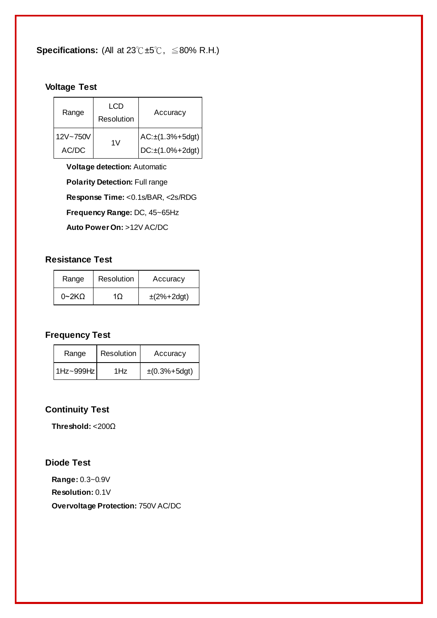**Specifications:** (All at 23℃±5℃, ≦80% R.H.)

## **Voltage Test**

| Range             | LCD<br>Resolution | Accuracy                                                           |
|-------------------|-------------------|--------------------------------------------------------------------|
| 12V~750V<br>AC/DC | 1V                | $AC: \pm (1.3\% + 5\text{dgt})$<br>$DC: \pm (1.0\% + 2\text{dgt})$ |

**Voltage detection:** Automatic **Polarity Detection: Full range Response Time:** <0.1s/BAR, <2s/RDG **Frequency Range:** DC, 45~65Hz

**Auto Power On:** >12V AC/DC

#### **Resistance Test**

| Range              | Resolution | Accuracy                  |
|--------------------|------------|---------------------------|
| 0~2~K <sub>O</sub> | 10         | $\pm (2\% + 2\text{dgt})$ |

# **Frequency Test**

| Range     | Resolution | Accuracy                    |
|-----------|------------|-----------------------------|
| 1Hz~999Hz | 1Hz        | $\pm (0.3\% + 5\text{dgt})$ |

#### **Continuity Test**

**Threshold:** <200Ω

#### **Diode Test**

**Range:** 0.3~0.9V **Resolution:** 0.1V **Overvoltage Protection:** 750V AC/DC